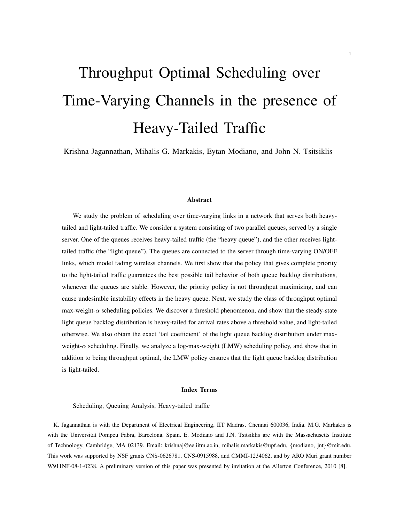# Throughput Optimal Scheduling over Time-Varying Channels in the presence of Heavy-Tailed Traffic

Krishna Jagannathan, Mihalis G. Markakis, Eytan Modiano, and John N. Tsitsiklis

## Abstract

We study the problem of scheduling over time-varying links in a network that serves both heavytailed and light-tailed traffic. We consider a system consisting of two parallel queues, served by a single server. One of the queues receives heavy-tailed traffic (the "heavy queue"), and the other receives lighttailed traffic (the "light queue"). The queues are connected to the server through time-varying ON/OFF links, which model fading wireless channels. We first show that the policy that gives complete priority to the light-tailed traffic guarantees the best possible tail behavior of both queue backlog distributions, whenever the queues are stable. However, the priority policy is not throughput maximizing, and can cause undesirable instability effects in the heavy queue. Next, we study the class of throughput optimal max-weight-*α* scheduling policies. We discover a threshold phenomenon, and show that the steady-state light queue backlog distribution is heavy-tailed for arrival rates above a threshold value, and light-tailed otherwise. We also obtain the exact 'tail coefficient' of the light queue backlog distribution under maxweight-*α* scheduling. Finally, we analyze a log-max-weight (LMW) scheduling policy, and show that in addition to being throughput optimal, the LMW policy ensures that the light queue backlog distribution is light-tailed.

#### Index Terms

Scheduling, Queuing Analysis, Heavy-tailed traffic

K. Jagannathan is with the Department of Electrical Engineering, IIT Madras, Chennai 600036, India. M.G. Markakis is with the Universitat Pompeu Fabra, Barcelona, Spain. E. Modiano and J.N. Tsitsiklis are with the Massachusetts Institute of Technology, Cambridge, MA 02139. Email: krishnaj@ee.iitm.ac.in, mihalis.markakis@upf.edu, *{*modiano, jnt*}*@mit.edu. This work was supported by NSF grants CNS-0626781, CNS-0915988, and CMMI-1234062, and by ARO Muri grant number W911NF-08-1-0238. A preliminary version of this paper was presented by invitation at the Allerton Conference, 2010 [8].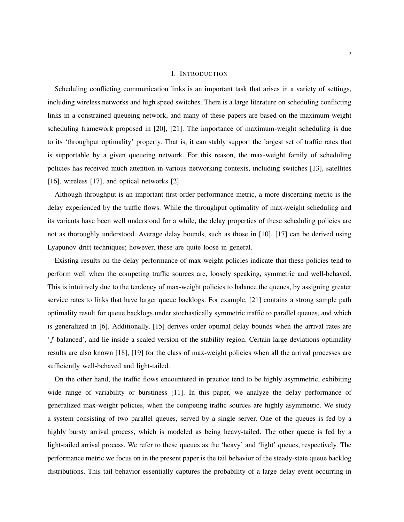## I. INTRODUCTION

Scheduling conflicting communication links is an important task that arises in a variety of settings, including wireless networks and high speed switches. There is a large literature on scheduling conflicting links in a constrained queueing network, and many of these papers are based on the maximum-weight scheduling framework proposed in [20], [21]. The importance of maximum-weight scheduling is due to its 'throughput optimality' property. That is, it can stably support the largest set of traffic rates that is supportable by a given queueing network. For this reason, the max-weight family of scheduling policies has received much attention in various networking contexts, including switches [13], satellites [16], wireless [17], and optical networks [2].

Although throughput is an important first-order performance metric, a more discerning metric is the delay experienced by the traffic flows. While the throughput optimality of max-weight scheduling and its variants have been well understood for a while, the delay properties of these scheduling policies are not as thoroughly understood. Average delay bounds, such as those in [10], [17] can be derived using Lyapunov drift techniques; however, these are quite loose in general.

Existing results on the delay performance of max-weight policies indicate that these policies tend to perform well when the competing traffic sources are, loosely speaking, symmetric and well-behaved. This is intuitively due to the tendency of max-weight policies to balance the queues, by assigning greater service rates to links that have larger queue backlogs. For example, [21] contains a strong sample path optimality result for queue backlogs under stochastically symmetric traffic to parallel queues, and which is generalized in [6]. Additionally, [15] derives order optimal delay bounds when the arrival rates are '*f*-balanced', and lie inside a scaled version of the stability region. Certain large deviations optimality results are also known [18], [19] for the class of max-weight policies when all the arrival processes are sufficiently well-behaved and light-tailed.

On the other hand, the traffic flows encountered in practice tend to be highly asymmetric, exhibiting wide range of variability or burstiness [11]. In this paper, we analyze the delay performance of generalized max-weight policies, when the competing traffic sources are highly asymmetric. We study a system consisting of two parallel queues, served by a single server. One of the queues is fed by a highly bursty arrival process, which is modeled as being heavy-tailed. The other queue is fed by a light-tailed arrival process. We refer to these queues as the 'heavy' and 'light' queues, respectively. The performance metric we focus on in the present paper is the tail behavior of the steady-state queue backlog distributions. This tail behavior essentially captures the probability of a large delay event occurring in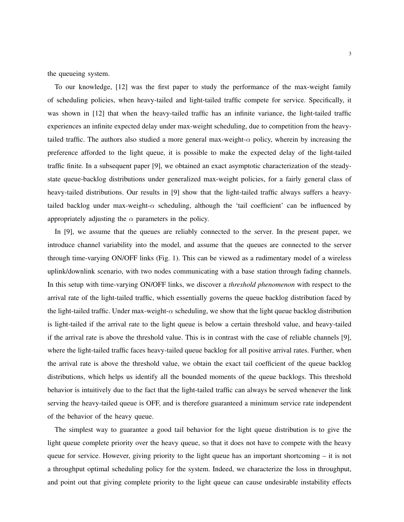the queueing system.

To our knowledge, [12] was the first paper to study the performance of the max-weight family of scheduling policies, when heavy-tailed and light-tailed traffic compete for service. Specifically, it was shown in [12] that when the heavy-tailed traffic has an infinite variance, the light-tailed traffic experiences an infinite expected delay under max-weight scheduling, due to competition from the heavytailed traffic. The authors also studied a more general max-weight-*α* policy, wherein by increasing the preference afforded to the light queue, it is possible to make the expected delay of the light-tailed traffic finite. In a subsequent paper [9], we obtained an exact asymptotic characterization of the steadystate queue-backlog distributions under generalized max-weight policies, for a fairly general class of heavy-tailed distributions. Our results in [9] show that the light-tailed traffic always suffers a heavytailed backlog under max-weight-*α* scheduling, although the 'tail coefficient' can be influenced by appropriately adjusting the  $\alpha$  parameters in the policy.

In [9], we assume that the queues are reliably connected to the server. In the present paper, we introduce channel variability into the model, and assume that the queues are connected to the server through time-varying ON/OFF links (Fig. 1). This can be viewed as a rudimentary model of a wireless uplink/downlink scenario, with two nodes communicating with a base station through fading channels. In this setup with time-varying ON/OFF links, we discover a *threshold phenomenon* with respect to the arrival rate of the light-tailed traffic, which essentially governs the queue backlog distribution faced by the light-tailed traffic. Under max-weight-*α* scheduling, we show that the light queue backlog distribution is light-tailed if the arrival rate to the light queue is below a certain threshold value, and heavy-tailed if the arrival rate is above the threshold value. This is in contrast with the case of reliable channels [9], where the light-tailed traffic faces heavy-tailed queue backlog for all positive arrival rates. Further, when the arrival rate is above the threshold value, we obtain the exact tail coefficient of the queue backlog distributions, which helps us identify all the bounded moments of the queue backlogs. This threshold behavior is intuitively due to the fact that the light-tailed traffic can always be served whenever the link serving the heavy-tailed queue is OFF, and is therefore guaranteed a minimum service rate independent of the behavior of the heavy queue.

The simplest way to guarantee a good tail behavior for the light queue distribution is to give the light queue complete priority over the heavy queue, so that it does not have to compete with the heavy queue for service. However, giving priority to the light queue has an important shortcoming – it is not a throughput optimal scheduling policy for the system. Indeed, we characterize the loss in throughput, and point out that giving complete priority to the light queue can cause undesirable instability effects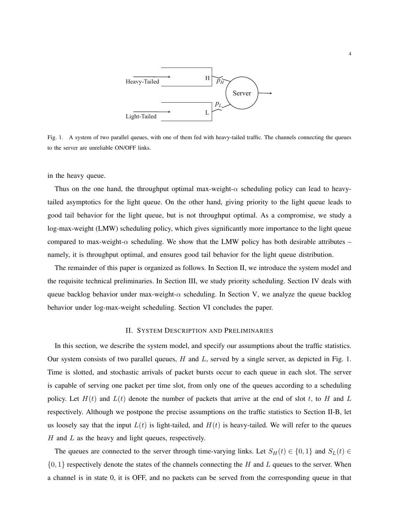

Fig. 1. A system of two parallel queues, with one of them fed with heavy-tailed traffic. The channels connecting the queues to the server are unreliable ON/OFF links.

in the heavy queue.

Thus on the one hand, the throughput optimal max-weight- $\alpha$  scheduling policy can lead to heavytailed asymptotics for the light queue. On the other hand, giving priority to the light queue leads to good tail behavior for the light queue, but is not throughput optimal. As a compromise, we study a log-max-weight (LMW) scheduling policy, which gives significantly more importance to the light queue compared to max-weight-*α* scheduling. We show that the LMW policy has both desirable attributes – namely, it is throughput optimal, and ensures good tail behavior for the light queue distribution.

The remainder of this paper is organized as follows. In Section II, we introduce the system model and the requisite technical preliminaries. In Section III, we study priority scheduling. Section IV deals with queue backlog behavior under max-weight-*α* scheduling. In Section V, we analyze the queue backlog behavior under log-max-weight scheduling. Section VI concludes the paper.

## II. SYSTEM DESCRIPTION AND PRELIMINARIES

In this section, we describe the system model, and specify our assumptions about the traffic statistics. Our system consists of two parallel queues, *H* and *L*, served by a single server, as depicted in Fig. 1. Time is slotted, and stochastic arrivals of packet bursts occur to each queue in each slot. The server is capable of serving one packet per time slot, from only one of the queues according to a scheduling policy. Let  $H(t)$  and  $L(t)$  denote the number of packets that arrive at the end of slot  $t$ , to  $H$  and  $L$ respectively. Although we postpone the precise assumptions on the traffic statistics to Section II-B, let us loosely say that the input  $L(t)$  is light-tailed, and  $H(t)$  is heavy-tailed. We will refer to the queues *H* and *L* as the heavy and light queues, respectively.

The queues are connected to the server through time-varying links. Let  $S_H(t) \in \{0,1\}$  and  $S_L(t) \in$ *{*0*,* 1*}* respectively denote the states of the channels connecting the *H* and *L* queues to the server. When a channel is in state 0, it is OFF, and no packets can be served from the corresponding queue in that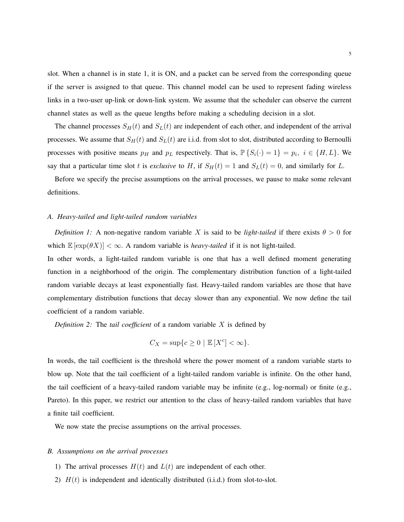slot. When a channel is in state 1, it is ON, and a packet can be served from the corresponding queue if the server is assigned to that queue. This channel model can be used to represent fading wireless links in a two-user up-link or down-link system. We assume that the scheduler can observe the current channel states as well as the queue lengths before making a scheduling decision in a slot.

The channel processes  $S_H(t)$  and  $S_L(t)$  are independent of each other, and independent of the arrival processes. We assume that  $S_H(t)$  and  $S_L(t)$  are i.i.d. from slot to slot, distributed according to Bernoulli processes with positive means  $p_H$  and  $p_L$  respectively. That is,  $\mathbb{P}\{S_i(\cdot) = 1\} = p_i$ ,  $i \in \{H, L\}$ . We say that a particular time slot *t* is *exclusive* to *H*, if  $S_H(t) = 1$  and  $S_L(t) = 0$ , and similarly for *L*.

Before we specify the precise assumptions on the arrival processes, we pause to make some relevant definitions.

## *A. Heavy-tailed and light-tailed random variables*

*Definition 1:* A non-negative random variable *X* is said to be *light-tailed* if there exists  $\theta > 0$  for which  $\mathbb{E}[\exp(\theta X)] < \infty$ . A random variable is *heavy-tailed* if it is not light-tailed.

In other words, a light-tailed random variable is one that has a well defined moment generating function in a neighborhood of the origin. The complementary distribution function of a light-tailed random variable decays at least exponentially fast. Heavy-tailed random variables are those that have complementary distribution functions that decay slower than any exponential. We now define the tail coefficient of a random variable.

*Definition 2:* The *tail coefficient* of a random variable *X* is defined by

$$
C_X = \sup\{c \ge 0 \mid \mathbb{E}[X^c] < \infty\}.
$$

In words, the tail coefficient is the threshold where the power moment of a random variable starts to blow up. Note that the tail coefficient of a light-tailed random variable is infinite. On the other hand, the tail coefficient of a heavy-tailed random variable may be infinite (e.g., log-normal) or finite (e.g., Pareto). In this paper, we restrict our attention to the class of heavy-tailed random variables that have a finite tail coefficient.

We now state the precise assumptions on the arrival processes.

#### *B. Assumptions on the arrival processes*

- 1) The arrival processes  $H(t)$  and  $L(t)$  are independent of each other.
- 2)  $H(t)$  is independent and identically distributed (i.i.d.) from slot-to-slot.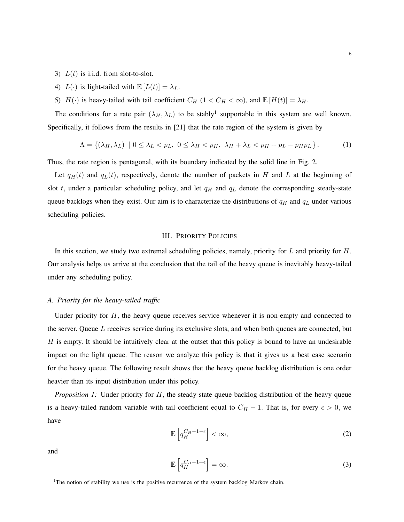- 3)  $L(t)$  is i.i.d. from slot-to-slot.
- 4)  $L(\cdot)$  is light-tailed with  $\mathbb{E}[L(t)] = \lambda_L$ .
- 5)  $H(\cdot)$  is heavy-tailed with tail coefficient  $C_H$  (1 <  $C_H$  <  $\infty$ ), and  $\mathbb{E}[H(t)] = \lambda_H$ .

The conditions for a rate pair  $(\lambda_H, \lambda_L)$  to be stably<sup>1</sup> supportable in this system are well known. Specifically, it follows from the results in [21] that the rate region of the system is given by

$$
\Lambda = \{ (\lambda_H, \lambda_L) \mid 0 \le \lambda_L < p_L, \ 0 \le \lambda_H < p_H, \ \lambda_H + \lambda_L < p_H + p_L - p_H p_L \} \,. \tag{1}
$$

Thus, the rate region is pentagonal, with its boundary indicated by the solid line in Fig. 2.

Let  $q_H(t)$  and  $q_L(t)$ , respectively, denote the number of packets in *H* and *L* at the beginning of slot  $t$ , under a particular scheduling policy, and let  $q<sub>H</sub>$  and  $q<sub>L</sub>$  denote the corresponding steady-state queue backlogs when they exist. Our aim is to characterize the distributions of *q<sup>H</sup>* and *q<sup>L</sup>* under various scheduling policies.

## III. PRIORITY POLICIES

In this section, we study two extremal scheduling policies, namely, priority for *L* and priority for *H*. Our analysis helps us arrive at the conclusion that the tail of the heavy queue is inevitably heavy-tailed under any scheduling policy.

# *A. Priority for the heavy-tailed traffic*

Under priority for *H*, the heavy queue receives service whenever it is non-empty and connected to the server. Queue *L* receives service during its exclusive slots, and when both queues are connected, but *H* is empty. It should be intuitively clear at the outset that this policy is bound to have an undesirable impact on the light queue. The reason we analyze this policy is that it gives us a best case scenario for the heavy queue. The following result shows that the heavy queue backlog distribution is one order heavier than its input distribution under this policy.

*Proposition 1:* Under priority for *H*, the steady-state queue backlog distribution of the heavy queue is a heavy-tailed random variable with tail coefficient equal to  $C_H - 1$ . That is, for every  $\epsilon > 0$ , we have

$$
\mathbb{E}\left[q_H^{C_H-1-\epsilon}\right]<\infty,
$$
\n(2)

and

$$
\mathbb{E}\left[q_H^{C_H-1+\epsilon}\right] = \infty. \tag{3}
$$

<sup>1</sup>The notion of stability we use is the positive recurrence of the system backlog Markov chain.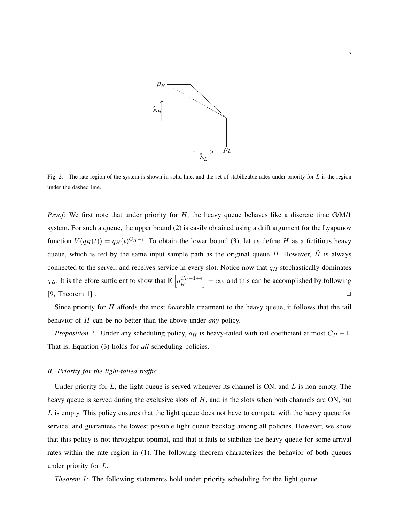

Fig. 2. The rate region of the system is shown in solid line, and the set of stabilizable rates under priority for *L* is the region under the dashed line.

*Proof:* We first note that under priority for *H,* the heavy queue behaves like a discrete time G/M/1 system. For such a queue, the upper bound (2) is easily obtained using a drift argument for the Lyapunov function  $V(q_H(t)) = q_H(t)^{C_H - \epsilon}$ . To obtain the lower bound (3), let us define  $\tilde{H}$  as a fictitious heavy queue, which is fed by the same input sample path as the original queue  $H$ . However,  $H$  is always connected to the server, and receives service in every slot. Notice now that *q<sup>H</sup>* stochastically dominates *q*<sub>*H*</sub><sup>*n*</sup>. It is therefore sufficient to show that  $\mathbb{E} \left[ q_H^{C_H-1+\epsilon} \right]$  $\tilde{H}$  $\vert = \infty$ , and this can be accomplished by following  $[9,$  Theorem 1].

Since priority for *H* affords the most favorable treatment to the heavy queue, it follows that the tail behavior of *H* can be no better than the above under *any* policy.

*Proposition 2:* Under any scheduling policy,  $q_H$  is heavy-tailed with tail coefficient at most  $C_H - 1$ . That is, Equation (3) holds for *all* scheduling policies.

## *B. Priority for the light-tailed traffic*

Under priority for *L,* the light queue is served whenever its channel is ON, and *L* is non-empty. The heavy queue is served during the exclusive slots of *H*, and in the slots when both channels are ON, but *L* is empty. This policy ensures that the light queue does not have to compete with the heavy queue for service, and guarantees the lowest possible light queue backlog among all policies. However, we show that this policy is not throughput optimal, and that it fails to stabilize the heavy queue for some arrival rates within the rate region in (1). The following theorem characterizes the behavior of both queues under priority for *L*.

*Theorem 1:* The following statements hold under priority scheduling for the light queue.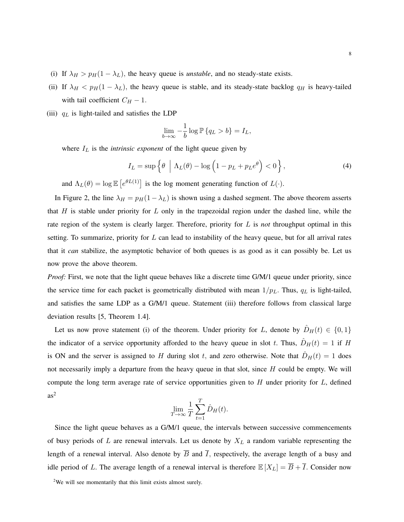- (i) If  $\lambda_H > p_H(1 \lambda_L)$ , the heavy queue is *unstable*, and no steady-state exists.
- (ii) If  $\lambda_H$  <  $p_H(1 \lambda_L)$ , the heavy queue is stable, and its steady-state backlog  $q_H$  is heavy-tailed with tail coefficient  $C_H - 1$ .
- (iii)  $q_L$  is light-tailed and satisfies the LDP

$$
\lim_{b \to \infty} -\frac{1}{b} \log \mathbb{P} \{ q_L > b \} = I_L,
$$

where  $I_L$  is the *intrinsic exponent* of the light queue given by

$$
I_L = \sup \left\{ \theta \mid \Lambda_L(\theta) - \log \left( 1 - p_L + p_L e^{\theta} \right) < 0 \right\},\tag{4}
$$

and  $\Lambda_L(\theta) = \log \mathbb{E}\left[e^{\theta L(1)}\right]$  is the log moment generating function of  $L(\cdot)$ .

In Figure 2, the line  $\lambda_H = p_H(1 - \lambda_L)$  is shown using a dashed segment. The above theorem asserts that *H* is stable under priority for *L* only in the trapezoidal region under the dashed line, while the rate region of the system is clearly larger. Therefore, priority for *L* is *not* throughput optimal in this setting. To summarize, priority for *L* can lead to instability of the heavy queue, but for all arrival rates that it *can* stabilize, the asymptotic behavior of both queues is as good as it can possibly be. Let us now prove the above theorem.

*Proof:* First, we note that the light queue behaves like a discrete time G/M/1 queue under priority, since the service time for each packet is geometrically distributed with mean  $1/p<sub>L</sub>$ . Thus,  $q<sub>L</sub>$  is light-tailed, and satisfies the same LDP as a G/M/1 queue. Statement (iii) therefore follows from classical large deviation results [5, Theorem 1.4].

Let us now prove statement (i) of the theorem. Under priority for *L*, denote by  $\hat{D}_H(t) \in \{0,1\}$ the indicator of a service opportunity afforded to the heavy queue in slot *t*. Thus,  $\hat{D}_H(t) = 1$  if *H* is ON and the server is assigned to *H* during slot *t*, and zero otherwise. Note that  $\hat{D}_H(t) = 1$  does not necessarily imply a departure from the heavy queue in that slot, since *H* could be empty. We will compute the long term average rate of service opportunities given to *H* under priority for *L*, defined  $as<sup>2</sup>$ 

$$
\lim_{T \to \infty} \frac{1}{T} \sum_{t=1}^{T} \hat{D}_H(t).
$$

Since the light queue behaves as a G/M/1 queue, the intervals between successive commencements of busy periods of *L* are renewal intervals. Let us denote by *X<sup>L</sup>* a random variable representing the length of a renewal interval. Also denote by  $\overline{B}$  and  $\overline{I}$ , respectively, the average length of a busy and idle period of *L*. The average length of a renewal interval is therefore  $\mathbb{E}[X_L] = \overline{B} + \overline{I}$ . Consider now

 $2$ We will see momentarily that this limit exists almost surely.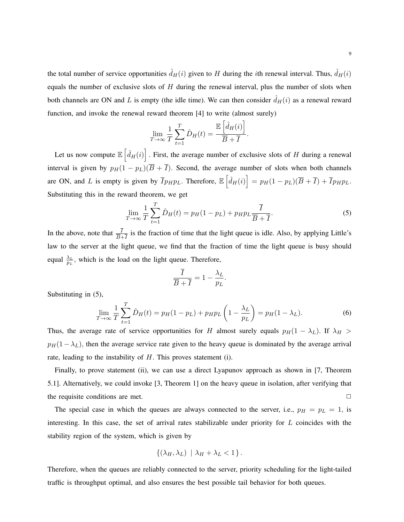the total number of service opportunities  $\hat{d}_H(i)$  given to *H* during the *i*th renewal interval. Thus,  $\hat{d}_H(i)$ equals the number of exclusive slots of *H* during the renewal interval, plus the number of slots when both channels are ON and *L* is empty (the idle time). We can then consider  $\hat{d}_H(i)$  as a renewal reward function, and invoke the renewal reward theorem [4] to write (almost surely)

$$
\lim_{T \to \infty} \frac{1}{T} \sum_{t=1}^{T} \hat{D}_H(t) = \frac{\mathbb{E} \left[ \hat{d}_H(i) \right]}{\overline{B} + \overline{I}}.
$$

Let us now compute  $\mathbb{E}\left[\hat{d}_H(i)\right]$ . First, the average number of exclusive slots of *H* during a renewal interval is given by  $p_H(1 - p_L)(\overline{B} + \overline{I})$ . Second, the average number of slots when both channels are ON, and L is empty is given by  $\overline{I} p_H p_L$ . Therefore,  $\mathbb{E} \left[ \hat{d}_H(i) \right] = p_H (1 - p_L) (\overline{B} + \overline{I}) + \overline{I} p_H p_L$ . Substituting this in the reward theorem, we get

$$
\lim_{T \to \infty} \frac{1}{T} \sum_{t=1}^{T} \hat{D}_H(t) = p_H(1 - p_L) + p_H p_L \frac{\overline{I}}{\overline{B} + \overline{I}}.
$$
\n(5)

In the above, note that  $\frac{I}{B+I}$  is the fraction of time that the light queue is idle. Also, by applying Little's law to the server at the light queue, we find that the fraction of time the light queue is busy should equal  $\frac{\lambda_L}{p_L}$ , which is the load on the light queue. Therefore,

$$
\frac{I}{\overline{B}+\overline{I}}=1-\frac{\lambda_L}{p_L}
$$

Substituting in (5),

$$
\lim_{T \to \infty} \frac{1}{T} \sum_{t=1}^{T} \hat{D}_H(t) = p_H(1 - p_L) + p_H p_L \left(1 - \frac{\lambda_L}{p_L}\right) = p_H(1 - \lambda_L). \tag{6}
$$

*.*

Thus, the average rate of service opportunities for *H* almost surely equals  $p_H(1 - \lambda_L)$ . If  $\lambda_H >$  $p_H(1-\lambda_L)$ , then the average service rate given to the heavy queue is dominated by the average arrival rate, leading to the instability of *H*. This proves statement (i).

Finally, to prove statement (ii), we can use a direct Lyapunov approach as shown in [7, Theorem 5.1]. Alternatively, we could invoke [3, Theorem 1] on the heavy queue in isolation, after verifying that the requisite conditions are met.

The special case in which the queues are always connected to the server, i.e.,  $p_H = p_L = 1$ , is interesting. In this case, the set of arrival rates stabilizable under priority for *L* coincides with the stability region of the system, which is given by

$$
\{(\lambda_H, \lambda_L) \mid \lambda_H + \lambda_L < 1\}.
$$

Therefore, when the queues are reliably connected to the server, priority scheduling for the light-tailed traffic is throughput optimal, and also ensures the best possible tail behavior for both queues.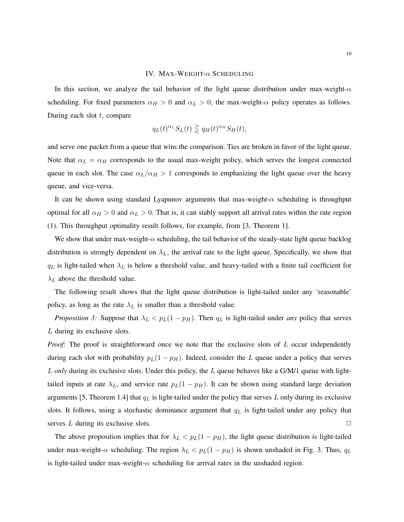## IV. MAX-WEIGHT-*α* SCHEDULING

In this section, we analyze the tail behavior of the light queue distribution under max-weight-*α* scheduling. For fixed parameters  $\alpha_H > 0$  and  $\alpha_L > 0$ , the max-weight- $\alpha$  policy operates as follows. During each slot *t,* compare

$$
q_L(t)^{\alpha_L} S_L(t) \geq q_H(t)^{\alpha_H} S_H(t),
$$

and serve one packet from a queue that wins the comparison. Ties are broken in favor of the light queue. Note that  $\alpha_L = \alpha_H$  corresponds to the usual max-weight policy, which serves the longest connected queue in each slot. The case  $\alpha_L/\alpha_H > 1$  corresponds to emphasizing the light queue over the heavy queue, and vice-versa.

It can be shown using standard Lyapunov arguments that max-weight-*α* scheduling is throughput optimal for all  $\alpha_H > 0$  and  $\alpha_L > 0$ . That is, it can stably support all arrival rates within the rate region (1). This throughput optimality result follows, for example, from [3, Theorem 1].

We show that under max-weight-*α* scheduling, the tail behavior of the steady-state light queue backlog distribution is strongly dependent on  $\lambda_L$ , the arrival rate to the light queue. Specifically, we show that  $q_L$  is light-tailed when  $\lambda_L$  is below a threshold value, and heavy-tailed with a finite tail coefficient for *λ<sup>L</sup>* above the threshold value.

The following result shows that the light queue distribution is light-tailed under any 'reasonable' policy, as long as the rate  $\lambda_L$  is smaller than a threshold value.

*Proposition 3:* Suppose that  $\lambda_L < p_L(1 - p_H)$ . Then  $q_L$  is light-tailed under *any* policy that serves *L* during its exclusive slots.

*Proof:* The proof is straightforward once we note that the exclusive slots of *L* occur independently during each slot with probability  $p_L(1 - p_H)$ . Indeed, consider the *L* queue under a policy that serves *L only* during its exclusive slots. Under this policy, the *L* queue behaves like a G/M/1 queue with lighttailed inputs at rate  $\lambda_L$ , and service rate  $p_L(1 - p_H)$ . It can be shown using standard large deviation arguments [5, Theorem 1.4] that *q<sup>L</sup>* is light-tailed under the policy that serves *L* only during its exclusive slots. It follows, using a stochastic dominance argument that *q<sup>L</sup>* is light-tailed under any policy that serves *L* during its exclusive slots.  $\Box$ 

The above proposition implies that for  $\lambda_L < p_L(1 - p_H)$ , the light queue distribution is light-tailed under max-weight- $\alpha$  scheduling. The region  $\lambda_L < p_L(1 - p_H)$  is shown unshaded in Fig. 3. Thus,  $q_L$ is light-tailed under max-weight- $\alpha$  scheduling for arrival rates in the unshaded region.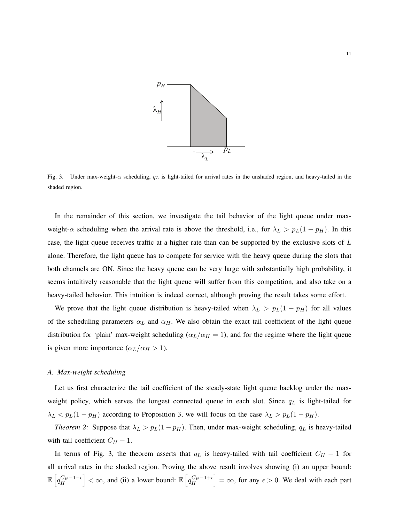

Fig. 3. Under max-weight-*α* scheduling, *q<sup>L</sup>* is light-tailed for arrival rates in the unshaded region, and heavy-tailed in the shaded region.

In the remainder of this section, we investigate the tail behavior of the light queue under maxweight- $\alpha$  scheduling when the arrival rate is above the threshold, i.e., for  $\lambda_L > p_L(1 - p_H)$ . In this case, the light queue receives traffic at a higher rate than can be supported by the exclusive slots of *L* alone. Therefore, the light queue has to compete for service with the heavy queue during the slots that both channels are ON. Since the heavy queue can be very large with substantially high probability, it seems intuitively reasonable that the light queue will suffer from this competition, and also take on a heavy-tailed behavior. This intuition is indeed correct, although proving the result takes some effort.

We prove that the light queue distribution is heavy-tailed when  $\lambda_L > p_L(1 - p_H)$  for all values of the scheduling parameters  $\alpha_L$  and  $\alpha_H$ . We also obtain the exact tail coefficient of the light queue distribution for 'plain' max-weight scheduling ( $\alpha_L/\alpha_H = 1$ ), and for the regime where the light queue is given more importance  $(\alpha_L/\alpha_H > 1)$ .

#### *A. Max-weight scheduling*

Let us first characterize the tail coefficient of the steady-state light queue backlog under the maxweight policy, which serves the longest connected queue in each slot. Since *q<sup>L</sup>* is light-tailed for  $\lambda_L$  *< p*<sub>*L*</sub>(1 *− p<sub>H</sub>*) according to Proposition 3, we will focus on the case  $\lambda_L$  > *p*<sub>*L*</sub>(1 *− p<sub>H</sub>*)*.* 

*Theorem 2:* Suppose that  $\lambda_L > p_L(1 - p_H)$ . Then, under max-weight scheduling,  $q_L$  is heavy-tailed with tail coefficient  $C_H - 1$ .

In terms of Fig. 3, the theorem asserts that  $q<sub>L</sub>$  is heavy-tailed with tail coefficient  $C_H - 1$  for all arrival rates in the shaded region. Proving the above result involves showing (i) an upper bound:  $\mathbb{E}\left[q_H^{C_H-1-\epsilon}\right]<\infty$ , and (ii) a lower bound:  $\mathbb{E}\left[q_H^{C_H-1+\epsilon}\right]=\infty$ , for any  $\epsilon>0$ . We deal with each part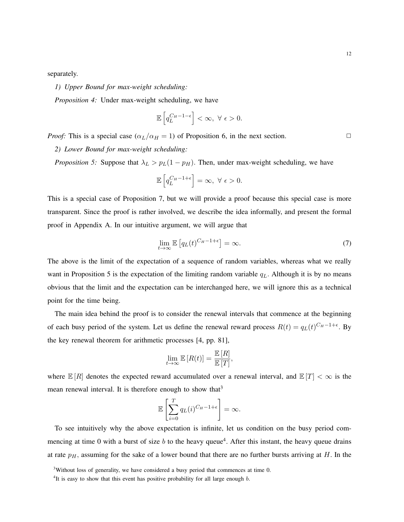separately.

*1) Upper Bound for max-weight scheduling:*

*Proposition 4:* Under max-weight scheduling, we have

$$
\mathbb{E}\left[q_L^{C_H-1-\epsilon}\right]<\infty,~\forall~\epsilon>0.
$$

*Proof:* This is a special case  $(\alpha_L/\alpha_H = 1)$  of Proposition 6, in the next section.  $\Box$ 

*2) Lower Bound for max-weight scheduling:*

*Proposition 5:* Suppose that  $\lambda_L > p_L(1 - p_H)$ . Then, under max-weight scheduling, we have

$$
\mathbb{E}\left[q_L^{C_H-1+\epsilon}\right] = \infty, \ \forall \ \epsilon > 0.
$$

This is a special case of Proposition 7, but we will provide a proof because this special case is more transparent. Since the proof is rather involved, we describe the idea informally, and present the formal proof in Appendix A. In our intuitive argument, we will argue that

$$
\lim_{t \to \infty} \mathbb{E}\left[q_L(t)^{C_H - 1 + \epsilon}\right] = \infty. \tag{7}
$$

The above is the limit of the expectation of a sequence of random variables, whereas what we really want in Proposition 5 is the expectation of the limiting random variable *qL.* Although it is by no means obvious that the limit and the expectation can be interchanged here, we will ignore this as a technical point for the time being.

The main idea behind the proof is to consider the renewal intervals that commence at the beginning of each busy period of the system. Let us define the renewal reward process  $R(t) = q_L(t)^{C_H - 1 + \epsilon}$ . By the key renewal theorem for arithmetic processes [4, pp. 81],

$$
\lim_{t \to \infty} \mathbb{E}\left[R(t)\right] = \frac{\mathbb{E}\left[R\right]}{\mathbb{E}\left[T\right]},
$$

where  $\mathbb{E}[R]$  denotes the expected reward accumulated over a renewal interval, and  $\mathbb{E}[T] < \infty$  is the mean renewal interval. It is therefore enough to show that<sup>3</sup>

$$
\mathbb{E}\left[\sum_{i=0}^T q_L(i)^{C_H-1+\epsilon}\right] = \infty.
$$

To see intuitively why the above expectation is infinite, let us condition on the busy period commencing at time 0 with a burst of size *b* to the heavy queue<sup>4</sup>. After this instant, the heavy queue drains at rate  $p<sub>H</sub>$ , assuming for the sake of a lower bound that there are no further bursts arriving at  $H$ . In the

<sup>&</sup>lt;sup>3</sup>Without loss of generality, we have considered a busy period that commences at time 0.

<sup>4</sup> It is easy to show that this event has positive probability for all large enough *b.*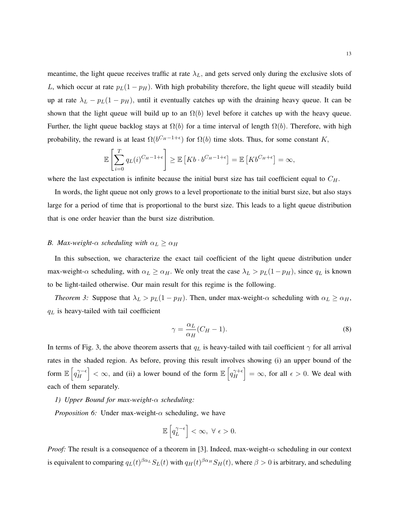meantime, the light queue receives traffic at rate  $\lambda_L$ , and gets served only during the exclusive slots of *L*, which occur at rate  $p_L(1 - p_H)$ . With high probability therefore, the light queue will steadily build up at rate  $\lambda_L - p_L(1 - p_H)$ , until it eventually catches up with the draining heavy queue. It can be shown that the light queue will build up to an  $\Omega(b)$  level before it catches up with the heavy queue. Further, the light queue backlog stays at  $\Omega(b)$  for a time interval of length  $\Omega(b)$ . Therefore, with high probability, the reward is at least  $\Omega(b^{C_H-1+\epsilon})$  for  $\Omega(b)$  time slots. Thus, for some constant *K*,

$$
\mathbb{E}\left[\sum_{i=0}^T q_L(i)^{C_H-1+\epsilon}\right] \geq \mathbb{E}\left[Kb \cdot b^{C_H-1+\epsilon}\right] = \mathbb{E}\left[Kb^{C_H+\epsilon}\right] = \infty,
$$

where the last expectation is infinite because the initial burst size has tail coefficient equal to *CH.*

In words, the light queue not only grows to a level proportionate to the initial burst size, but also stays large for a period of time that is proportional to the burst size. This leads to a light queue distribution that is one order heavier than the burst size distribution.

# *B. Max-weight-α scheduling with*  $\alpha_L \geq \alpha_H$

In this subsection, we characterize the exact tail coefficient of the light queue distribution under max-weight- $\alpha$  scheduling, with  $\alpha_L \geq \alpha_H$ . We only treat the case  $\lambda_L > p_L(1 - p_H)$ , since  $q_L$  is known to be light-tailed otherwise. Our main result for this regime is the following.

*Theorem 3:* Suppose that  $\lambda_L > p_L(1 - p_H)$ . Then, under max-weight- $\alpha$  scheduling with  $\alpha_L \geq \alpha_H$ , *q<sup>L</sup>* is heavy-tailed with tail coefficient

$$
\gamma = \frac{\alpha_L}{\alpha_H} (C_H - 1). \tag{8}
$$

In terms of Fig. 3, the above theorem asserts that  $q_L$  is heavy-tailed with tail coefficient  $\gamma$  for all arrival rates in the shaded region. As before, proving this result involves showing (i) an upper bound of the form  $\mathbb{E} \left[ q_H^{\gamma - \epsilon} \right]$  $\left| \frac{\gamma}{H} \right| < \infty$ , and (ii) a lower bound of the form  $\mathbb{E} \left[ q_H^{\gamma + \epsilon} \right]$  $\begin{bmatrix} \gamma + \epsilon \\ H \end{bmatrix} = \infty$ , for all  $\epsilon > 0$ . We deal with each of them separately.

# *1) Upper Bound for max-weight-α scheduling:*

*Proposition 6:* Under max-weight-*α* scheduling, we have

$$
\mathbb{E}\left[q_L^{\gamma-\epsilon}\right]<\infty, \ \forall \ \epsilon>0.
$$

*Proof:* The result is a consequence of a theorem in [3]. Indeed, max-weight- $\alpha$  scheduling in our context is equivalent to comparing  $q_L(t)^{\beta\alpha_L}S_L(t)$  with  $q_H(t)^{\beta\alpha_H}S_H(t)$ , where  $\beta>0$  is arbitrary, and scheduling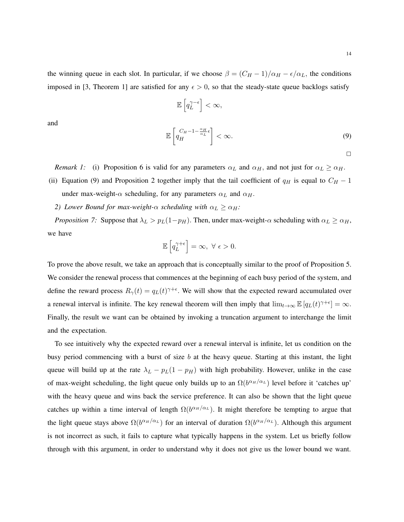the winning queue in each slot. In particular, if we choose  $\beta = (C_H - 1)/\alpha_H - \epsilon/\alpha_L$ , the conditions imposed in [3, Theorem 1] are satisfied for any  $\epsilon > 0$ , so that the steady-state queue backlogs satisfy

$$
\mathbb{E}\left[q_L^{\gamma-\epsilon}\right] < \infty,
$$
\n
$$
\mathbb{E}\left[q_H^{C_H-1-\frac{\alpha_H}{\alpha_L}\epsilon}\right] < \infty.
$$
\n(9)

 $\Box$ 

*Remark 1:* (i) Proposition 6 is valid for any parameters  $\alpha_L$  and  $\alpha_H$ , and not just for  $\alpha_L \geq \alpha_H$ .

- (ii) Equation (9) and Proposition 2 together imply that the tail coefficient of  $q_H$  is equal to  $C_H 1$ under max-weight- $\alpha$  scheduling, for any parameters  $\alpha_L$  and  $\alpha_H$ .
	- *2) Lower Bound for max-weight-α scheduling with*  $\alpha_L \geq \alpha_H$ *:*

and

*Proposition 7:* Suppose that  $\lambda_L > p_L(1-p_H)$ . Then, under max-weight- $\alpha$  scheduling with  $\alpha_L \geq \alpha_H$ , we have

$$
\mathbb{E}\left[q_L^{\gamma+\epsilon}\right] = \infty, \ \forall \ \epsilon > 0.
$$

To prove the above result, we take an approach that is conceptually similar to the proof of Proposition 5. We consider the renewal process that commences at the beginning of each busy period of the system, and define the reward process  $R_{\gamma}(t) = q_L(t)^{\gamma+\epsilon}$ . We will show that the expected reward accumulated over a renewal interval is infinite. The key renewal theorem will then imply that  $\lim_{t\to\infty} \mathbb{E}[q_L(t)^{\gamma+\epsilon}] = \infty$ . Finally, the result we want can be obtained by invoking a truncation argument to interchange the limit and the expectation.

To see intuitively why the expected reward over a renewal interval is infinite, let us condition on the busy period commencing with a burst of size *b* at the heavy queue. Starting at this instant, the light queue will build up at the rate  $\lambda_L - p_L(1 - p_H)$  with high probability. However, unlike in the case of max-weight scheduling, the light queue only builds up to an  $\Omega(b^{\alpha_H/\alpha_L})$  level before it 'catches up' with the heavy queue and wins back the service preference. It can also be shown that the light queue catches up within a time interval of length  $\Omega(b^{\alpha_H/\alpha_L})$ . It might therefore be tempting to argue that the light queue stays above  $\Omega(b^{\alpha_H/\alpha_L})$  for an interval of duration  $\Omega(b^{\alpha_H/\alpha_L})$ . Although this argument is not incorrect as such, it fails to capture what typically happens in the system. Let us briefly follow through with this argument, in order to understand why it does not give us the lower bound we want.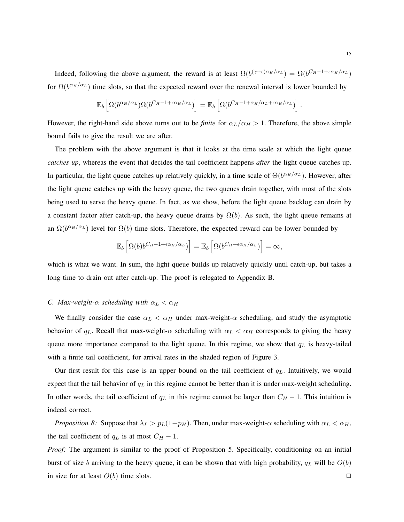Indeed, following the above argument, the reward is at least  $\Omega(b^{(\gamma+\epsilon)\alpha_H/\alpha_L}) = \Omega(b^{C_H-1+\epsilon\alpha_H/\alpha_L})$ for  $\Omega(b^{\alpha_H/\alpha_L})$  time slots, so that the expected reward over the renewal interval is lower bounded by

$$
\mathbb{E}_b\left[\Omega(b^{\alpha_H/\alpha_L})\Omega(b^{C_H-1+\epsilon\alpha_H/\alpha_L})\right] = \mathbb{E}_b\left[\Omega(b^{C_H-1+\alpha_H/\alpha_L+\epsilon\alpha_H/\alpha_L})\right].
$$

However, the right-hand side above turns out to be *finite* for  $\alpha_L/\alpha_H > 1$ . Therefore, the above simple bound fails to give the result we are after.

The problem with the above argument is that it looks at the time scale at which the light queue *catches up*, whereas the event that decides the tail coefficient happens *after* the light queue catches up. In particular, the light queue catches up relatively quickly, in a time scale of  $\Theta(b^{\alpha_H/\alpha_L})$ . However, after the light queue catches up with the heavy queue, the two queues drain together, with most of the slots being used to serve the heavy queue. In fact, as we show, before the light queue backlog can drain by a constant factor after catch-up, the heavy queue drains by  $\Omega(b)$ . As such, the light queue remains at an  $\Omega(b^{\alpha_H/\alpha_L})$  level for  $\Omega(b)$  time slots. Therefore, the expected reward can be lower bounded by

$$
\mathbb{E}_b\left[\Omega(b)b^{C_H-1+\epsilon\alpha_H/\alpha_L})\right]=\mathbb{E}_b\left[\Omega(b^{C_H+\epsilon\alpha_H/\alpha_L})\right]=\infty,
$$

which is what we want. In sum, the light queue builds up relatively quickly until catch-up, but takes a long time to drain out after catch-up. The proof is relegated to Appendix B.

# *C. Max-weight-* $\alpha$  *scheduling with*  $\alpha_L < \alpha_H$

We finally consider the case  $\alpha_L < \alpha_H$  under max-weight- $\alpha$  scheduling, and study the asymptotic behavior of  $q_L$ . Recall that max-weight- $\alpha$  scheduling with  $\alpha_L < \alpha_H$  corresponds to giving the heavy queue more importance compared to the light queue. In this regime, we show that *q<sup>L</sup>* is heavy-tailed with a finite tail coefficient, for arrival rates in the shaded region of Figure 3.

Our first result for this case is an upper bound on the tail coefficient of *qL.* Intuitively, we would expect that the tail behavior of *q<sup>L</sup>* in this regime cannot be better than it is under max-weight scheduling. In other words, the tail coefficient of  $q<sub>L</sub>$  in this regime cannot be larger than  $C_H - 1$ . This intuition is indeed correct.

*Proposition 8:* Suppose that  $\lambda_L > p_L(1-p_H)$ . Then, under max-weight- $\alpha$  scheduling with  $\alpha_L < \alpha_H$ , the tail coefficient of  $q_L$  is at most  $C_H - 1$ .

*Proof:* The argument is similar to the proof of Proposition 5. Specifically, conditioning on an initial burst of size *b* arriving to the heavy queue, it can be shown that with high probability, *q<sup>L</sup>* will be *O*(*b*) in size for at least  $O(b)$  time slots.  $\Box$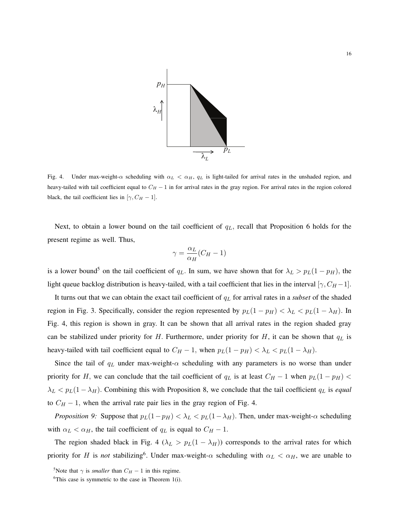

Fig. 4. Under max-weight- $\alpha$  scheduling with  $\alpha_L < \alpha_H$ ,  $q_L$  is light-tailed for arrival rates in the unshaded region, and heavy-tailed with tail coefficient equal to *C<sup>H</sup> −* 1 in for arrival rates in the gray region. For arrival rates in the region colored black, the tail coefficient lies in  $[\gamma, C_H - 1]$ *.* 

Next, to obtain a lower bound on the tail coefficient of *qL,* recall that Proposition 6 holds for the present regime as well. Thus,

$$
\gamma = \frac{\alpha_L}{\alpha_H} (C_H - 1)
$$

is a lower bound<sup>5</sup> on the tail coefficient of  $q<sub>L</sub>$ . In sum, we have shown that for  $\lambda<sub>L</sub> > p<sub>L</sub>(1 - p<sub>H</sub>)$ , the light queue backlog distribution is heavy-tailed, with a tail coefficient that lies in the interval  $[\gamma, C_H - 1]$ *.* 

It turns out that we can obtain the exact tail coefficient of *q<sup>L</sup>* for arrival rates in a *subset* of the shaded region in Fig. 3. Specifically, consider the region represented by  $p_L(1 - p_H) < \lambda_L < p_L(1 - \lambda_H)$ . In Fig. 4, this region is shown in gray. It can be shown that all arrival rates in the region shaded gray can be stabilized under priority for *H.* Furthermore, under priority for *H*, it can be shown that *q<sup>L</sup>* is heavy-tailed with tail coefficient equal to  $C_H - 1$ , when  $p_L(1 - p_H) < \lambda_L < p_L(1 - \lambda_H)$ .

Since the tail of  $q_L$  under max-weight- $\alpha$  scheduling with any parameters is no worse than under priority for *H*, we can conclude that the tail coefficient of  $q<sub>L</sub>$  is at least  $C_H - 1$  when  $p<sub>L</sub>(1 - p<sub>H</sub>)$  <  $\lambda_L$  *< p*<sub>*L*</sub>(1 *−*  $\lambda$ <sup>*H*</sup>). Combining this with Proposition 8, we conclude that the tail coefficient *q*<sub>*L*</sub> is *equal* to  $C_H - 1$ , when the arrival rate pair lies in the gray region of Fig. 4.

*Proposition 9:* Suppose that  $p_L(1-p_H) < \lambda_L < p_L(1-\lambda_H)$ . Then, under max-weight- $\alpha$  scheduling with  $\alpha_L < \alpha_H$ , the tail coefficient of  $q_L$  is equal to  $C_H - 1$ .

The region shaded black in Fig. 4 ( $\lambda_L > p_L(1 - \lambda_H)$ ) corresponds to the arrival rates for which priority for *H* is *not* stabilizing<sup>6</sup>. Under max-weight- $\alpha$  scheduling with  $\alpha_L < \alpha_H$ , we are unable to

<sup>&</sup>lt;sup>5</sup>Note that  $\gamma$  is *smaller* than  $C_H - 1$  in this regime.

<sup>&</sup>lt;sup>6</sup>This case is symmetric to the case in Theorem 1(i).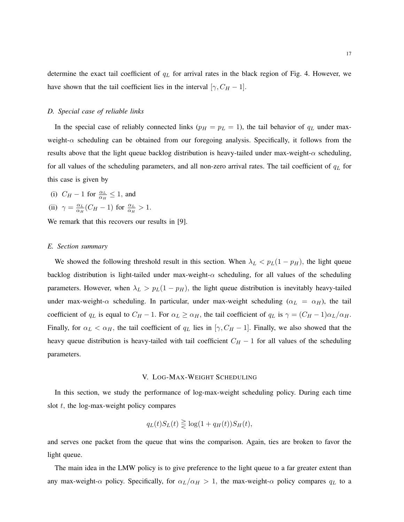determine the exact tail coefficient of *q<sup>L</sup>* for arrival rates in the black region of Fig. 4. However, we have shown that the tail coefficient lies in the interval  $[\gamma, C_H - 1]$ *.* 

## *D. Special case of reliable links*

In the special case of reliably connected links ( $p_H = p_L = 1$ ), the tail behavior of  $q_L$  under maxweight-*α* scheduling can be obtained from our foregoing analysis. Specifically, it follows from the results above that the light queue backlog distribution is heavy-tailed under max-weight- $\alpha$  scheduling, for all values of the scheduling parameters, and all non-zero arrival rates. The tail coefficient of *q<sup>L</sup>* for this case is given by

(i)  $C_H - 1$  for  $\frac{\alpha_L}{\alpha_H} \leq 1$ , and

(ii) 
$$
\gamma = \frac{\alpha_L}{\alpha_H} (C_H - 1)
$$
 for  $\frac{\alpha_L}{\alpha_H} > 1$ .

We remark that this recovers our results in [9].

## *E. Section summary*

We showed the following threshold result in this section. When  $\lambda_L < p_L(1 - p_H)$ , the light queue backlog distribution is light-tailed under max-weight-*α* scheduling, for all values of the scheduling parameters. However, when  $\lambda_L > p_L(1 - p_H)$ , the light queue distribution is inevitably heavy-tailed under max-weight- $\alpha$  scheduling. In particular, under max-weight scheduling ( $\alpha_L = \alpha_H$ ), the tail coefficient of  $q_L$  is equal to  $C_H - 1$ . For  $\alpha_L \ge \alpha_H$ , the tail coefficient of  $q_L$  is  $\gamma = (C_H - 1)\alpha_L/\alpha_H$ . Finally, for  $\alpha_L < \alpha_H$ , the tail coefficient of  $q_L$  lies in [ $\gamma$ ,  $C_H - 1$ ]. Finally, we also showed that the heavy queue distribution is heavy-tailed with tail coefficient *C<sup>H</sup> −* 1 for all values of the scheduling parameters.

# V. LOG-MAX-WEIGHT SCHEDULING

In this section, we study the performance of log-max-weight scheduling policy. During each time slot *t,* the log-max-weight policy compares

$$
q_L(t)S_L(t) \geq \log(1 + q_H(t))S_H(t),
$$

and serves one packet from the queue that wins the comparison. Again, ties are broken to favor the light queue.

The main idea in the LMW policy is to give preference to the light queue to a far greater extent than any max-weight- $\alpha$  policy. Specifically, for  $\alpha_L/\alpha_H > 1$ , the max-weight- $\alpha$  policy compares  $q_L$  to a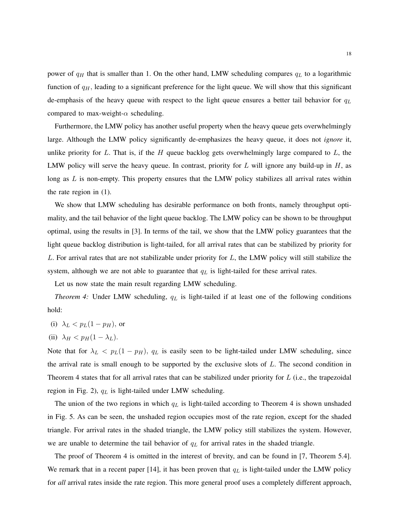power of  $q_H$  that is smaller than 1. On the other hand, LMW scheduling compares  $q_L$  to a logarithmic function of *qH,* leading to a significant preference for the light queue. We will show that this significant de-emphasis of the heavy queue with respect to the light queue ensures a better tail behavior for *q<sup>L</sup>* compared to max-weight-*α* scheduling.

Furthermore, the LMW policy has another useful property when the heavy queue gets overwhelmingly large. Although the LMW policy significantly de-emphasizes the heavy queue, it does not *ignore* it, unlike priority for *L*. That is, if the *H* queue backlog gets overwhelmingly large compared to *L*, the LMW policy will serve the heavy queue. In contrast, priority for *L* will ignore any build-up in *H*, as long as *L* is non-empty. This property ensures that the LMW policy stabilizes all arrival rates within the rate region in (1).

We show that LMW scheduling has desirable performance on both fronts, namely throughput optimality, and the tail behavior of the light queue backlog. The LMW policy can be shown to be throughput optimal, using the results in [3]. In terms of the tail, we show that the LMW policy guarantees that the light queue backlog distribution is light-tailed, for all arrival rates that can be stabilized by priority for *L*. For arrival rates that are not stabilizable under priority for *L*, the LMW policy will still stabilize the system, although we are not able to guarantee that *q<sup>L</sup>* is light-tailed for these arrival rates.

Let us now state the main result regarding LMW scheduling.

*Theorem 4:* Under LMW scheduling, *q<sup>L</sup>* is light-tailed if at least one of the following conditions hold:

(i) 
$$
\lambda_L < p_L(1 - p_H)
$$
, or

(ii) 
$$
\lambda_H < p_H(1 - \lambda_L)
$$
.

Note that for  $\lambda_L$  <  $p_L(1 - p_H)$ ,  $q_L$  is easily seen to be light-tailed under LMW scheduling, since the arrival rate is small enough to be supported by the exclusive slots of *L*. The second condition in Theorem 4 states that for all arrival rates that can be stabilized under priority for *L* (i.e., the trapezoidal region in Fig. 2), *q<sup>L</sup>* is light-tailed under LMW scheduling.

The union of the two regions in which *q<sup>L</sup>* is light-tailed according to Theorem 4 is shown unshaded in Fig. 5. As can be seen, the unshaded region occupies most of the rate region, except for the shaded triangle. For arrival rates in the shaded triangle, the LMW policy still stabilizes the system. However, we are unable to determine the tail behavior of *q<sup>L</sup>* for arrival rates in the shaded triangle.

The proof of Theorem 4 is omitted in the interest of brevity, and can be found in [7, Theorem 5.4]. We remark that in a recent paper [14], it has been proven that *q<sup>L</sup>* is light-tailed under the LMW policy for *all* arrival rates inside the rate region. This more general proof uses a completely different approach,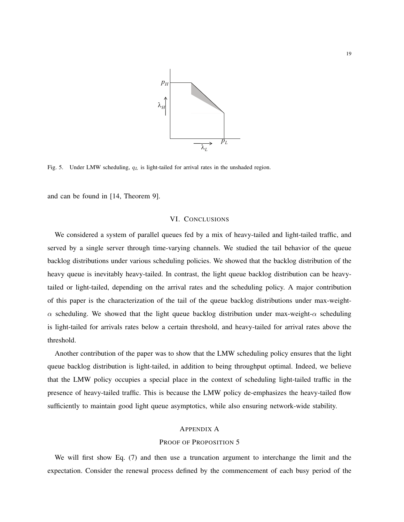

Fig. 5. Under LMW scheduling, *q<sup>L</sup>* is light-tailed for arrival rates in the unshaded region.

and can be found in [14, Theorem 9].

#### VI. CONCLUSIONS

We considered a system of parallel queues fed by a mix of heavy-tailed and light-tailed traffic, and served by a single server through time-varying channels. We studied the tail behavior of the queue backlog distributions under various scheduling policies. We showed that the backlog distribution of the heavy queue is inevitably heavy-tailed. In contrast, the light queue backlog distribution can be heavytailed or light-tailed, depending on the arrival rates and the scheduling policy. A major contribution of this paper is the characterization of the tail of the queue backlog distributions under max-weight*α* scheduling. We showed that the light queue backlog distribution under max-weight-*α* scheduling is light-tailed for arrivals rates below a certain threshold, and heavy-tailed for arrival rates above the threshold.

Another contribution of the paper was to show that the LMW scheduling policy ensures that the light queue backlog distribution is light-tailed, in addition to being throughput optimal. Indeed, we believe that the LMW policy occupies a special place in the context of scheduling light-tailed traffic in the presence of heavy-tailed traffic. This is because the LMW policy de-emphasizes the heavy-tailed flow sufficiently to maintain good light queue asymptotics, while also ensuring network-wide stability.

#### APPENDIX A

## PROOF OF PROPOSITION 5

We will first show Eq. (7) and then use a truncation argument to interchange the limit and the expectation. Consider the renewal process defined by the commencement of each busy period of the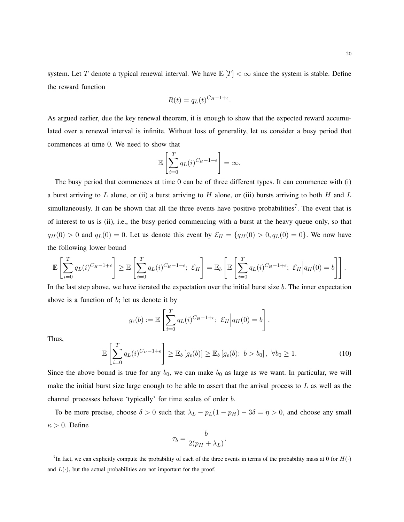system. Let *T* denote a typical renewal interval. We have  $\mathbb{E}[T] < \infty$  since the system is stable. Define the reward function

$$
R(t) = q_L(t)^{C_H - 1 + \epsilon}.
$$

As argued earlier, due the key renewal theorem, it is enough to show that the expected reward accumulated over a renewal interval is infinite. Without loss of generality, let us consider a busy period that commences at time 0. We need to show that

$$
\mathbb{E}\left[\sum_{i=0}^T q_L(i)^{C_H-1+\epsilon}\right] = \infty.
$$

The busy period that commences at time 0 can be of three different types. It can commence with (i) a burst arriving to *L* alone, or (ii) a burst arriving to *H* alone, or (iii) bursts arriving to both *H* and *L* simultaneously. It can be shown that all the three events have positive probabilities<sup>7</sup>. The event that is of interest to us is (ii), i.e., the busy period commencing with a burst at the heavy queue only, so that  $q_H(0) > 0$  and  $q_L(0) = 0$ . Let us denote this event by  $\mathcal{E}_H = \{q_H(0) > 0, q_L(0) = 0\}$ . We now have the following lower bound

$$
\mathbb{E}\left[\sum_{i=0}^T q_L(i)^{C_H-1+\epsilon}\right] \geq \mathbb{E}\left[\sum_{i=0}^T q_L(i)^{C_H-1+\epsilon}; \ \mathcal{E}_H\right] = \mathbb{E}_b\left[\mathbb{E}\left[\sum_{i=0}^T q_L(i)^{C_H-1+\epsilon}; \ \mathcal{E}_H\middle| q_H(0) = b\right]\right].
$$

In the last step above, we have iterated the expectation over the initial burst size *b.* The inner expectation above is a function of *b*; let us denote it by

$$
g_{\epsilon}(b) := \mathbb{E}\left[\sum_{i=0}^{T} q_L(i)^{C_H - 1 + \epsilon}; \ \mathcal{E}_H\middle| q_H(0) = b\right].
$$

Thus,

$$
\mathbb{E}\left[\sum_{i=0}^{T} q_L(i)^{C_H - 1 + \epsilon}\right] \ge \mathbb{E}_b\left[g_{\epsilon}(b)\right] \ge \mathbb{E}_b\left[g_{\epsilon}(b); \ b > b_0\right], \ \forall b_0 \ge 1. \tag{10}
$$

Since the above bound is true for any  $b_0$ , we can make  $b_0$  as large as we want. In particular, we will make the initial burst size large enough to be able to assert that the arrival process to *L* as well as the channel processes behave 'typically' for time scales of order *b.*

To be more precise, choose  $\delta > 0$  such that  $\lambda_L - p_L(1 - p_H) - 3\delta = \eta > 0$ , and choose any small  $\kappa > 0$ *.* Define

$$
\tau_b = \frac{b}{2(p_H + \lambda_L)}.
$$

<sup>7</sup>In fact, we can explicitly compute the probability of each of the three events in terms of the probability mass at 0 for  $H(\cdot)$ and  $L(\cdot)$ , but the actual probabilities are not important for the proof.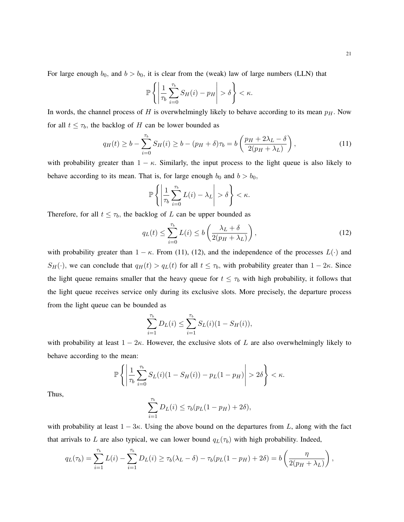For large enough  $b_0$ , and  $b > b_0$ , it is clear from the (weak) law of large numbers (LLN) that

$$
\mathbb{P}\left\{\left|\frac{1}{\tau_b}\sum_{i=0}^{\tau_b}S_H(i)-p_H\right|>\delta\right\}<\kappa.
$$

In words, the channel process of *H* is overwhelmingly likely to behave according to its mean *pH.* Now for all  $t \leq \tau_b$ , the backlog of *H* can be lower bounded as

$$
q_H(t) \ge b - \sum_{i=0}^{\tau_b} S_H(i) \ge b - (p_H + \delta)\tau_b = b\left(\frac{p_H + 2\lambda_L - \delta}{2(p_H + \lambda_L)}\right),\tag{11}
$$

with probability greater than  $1 - \kappa$ . Similarly, the input process to the light queue is also likely to behave according to its mean. That is, for large enough  $b_0$  and  $b > b_0$ ,

$$
\mathbb{P}\left\{\left|\frac{1}{\tau_b}\sum_{i=0}^{\tau_b}L(i)-\lambda_L\right|>\delta\right\}<\kappa.
$$

Therefore, for all  $t \leq \tau_b$ , the backlog of *L* can be upper bounded as

$$
q_L(t) \le \sum_{i=0}^{\tau_b} L(i) \le b \left( \frac{\lambda_L + \delta}{2(p_H + \lambda_L)} \right),\tag{12}
$$

with probability greater than  $1 - \kappa$ . From (11), (12), and the independence of the processes  $L(\cdot)$  and *S<sub>H</sub>*(*·*)*,* we can conclude that  $q_H(t) > q_L(t)$  for all  $t \leq \tau_b$ , with probability greater than  $1 - 2\kappa$ . Since the light queue remains smaller that the heavy queue for  $t \leq \tau_b$  with high probability, it follows that the light queue receives service only during its exclusive slots. More precisely, the departure process from the light queue can be bounded as

$$
\sum_{i=1}^{\tau_b} D_L(i) \le \sum_{i=1}^{\tau_b} S_L(i) (1 - S_H(i)),
$$

with probability at least  $1 - 2\kappa$ . However, the exclusive slots of *L* are also overwhelmingly likely to behave according to the mean:

$$
\mathbb{P}\left\{\left|\frac{1}{\tau_b}\sum_{i=0}^{\tau_b}S_L(i)(1-S_H(i)) - p_L(1-p_H)\right| > 2\delta\right\} < \kappa.
$$

Thus,

$$
\sum_{i=1}^{\tau_b} D_L(i) \le \tau_b(p_L(1-p_H) + 2\delta),
$$

with probability at least  $1 - 3\kappa$ . Using the above bound on the departures from *L*, along with the fact that arrivals to *L* are also typical, we can lower bound  $q_L(\tau_b)$  with high probability. Indeed,

$$
q_L(\tau_b) = \sum_{i=1}^{\tau_b} L(i) - \sum_{i=1}^{\tau_b} D_L(i) \geq \tau_b(\lambda_L - \delta) - \tau_b(p_L(1 - p_H) + 2\delta) = b\left(\frac{\eta}{2(p_H + \lambda_L)}\right),
$$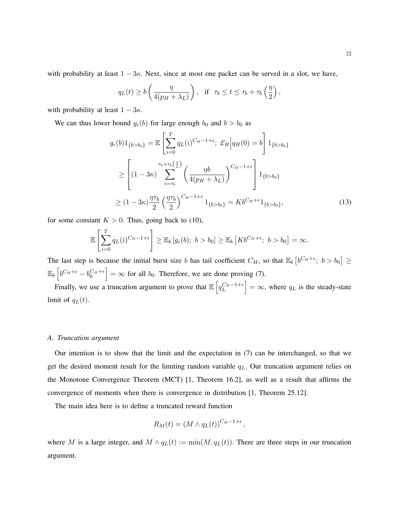with probability at least 1 *−* 3*κ.* Next, since at most one packet can be served in a slot, we have,

$$
q_L(t) \ge b\left(\frac{\eta}{4(p_H + \lambda_L)}\right)
$$
, if  $\tau_b \le t \le \tau_b + \tau_b\left(\frac{\eta}{2}\right)$ ,

with probability at least  $1 - 3\kappa$ .

We can thus lower bound  $g_\epsilon(b)$  for large enough  $b_0$  and  $b > b_0$  as

$$
g_{\epsilon}(b)1_{\{b>b_0\}} = \mathbb{E}\left[\sum_{i=0}^{T} q_L(i)^{C_H-1+\epsilon}; \ \mathcal{E}_H \Big| q_H(0) = b\right] 1_{\{b>b_0\}}
$$
  
\n
$$
\geq \left[ (1-3\kappa) \sum_{i=\tau_b}^{\tau_b+\tau_b(\frac{\eta}{2})} \left( \frac{\eta b}{4(p_H+\lambda_L)} \right)^{C_H-1+\epsilon} \right] 1_{\{b>b_0\}}
$$
  
\n
$$
\geq (1-3\kappa) \frac{\eta \tau_b}{2} \left( \frac{\eta \tau_b}{2} \right)^{C_H-1+\epsilon} 1_{\{b>b_0\}} = Kb^{C_H+\epsilon} 1_{\{b>b_0\}}, \tag{13}
$$

for some constant  $K > 0$ . Thus, going back to (10),

$$
\mathbb{E}\left[\sum_{i=0}^T q_L(i)^{C_H-1+\epsilon}\right] \geq \mathbb{E}_b\left[g_\epsilon(b); b > b_0\right] \geq \mathbb{E}_b\left[Kb^{C_H+\epsilon}; b > b_0\right] = \infty.
$$

The last step is because the initial burst size *b* has tail coefficient  $C_H$ , so that  $\mathbb{E}_b \left[ b^{C_H + \epsilon} ; b > b_0 \right] \ge$  $\mathbb{E}_b\left[b^{C_H+\epsilon}-b_0^{C_H+\epsilon}\right]=\infty$  for all *b*<sub>0</sub>. Therefore, we are done proving (7).

Finally, we use a truncation argument to prove that  $\mathbb{E}\left[q_L^{C_H-1+\epsilon}\right] = \infty$ , where  $q_L$  is the steady-state limit of  $q_L(t)$ *.* 

## *A. Truncation argument*

Our intention is to show that the limit and the expectation in (7) can be interchanged, so that we get the desired moment result for the limiting random variable *qL.* Our truncation argument relies on the Monotone Convergence Theorem (MCT) [1, Theorem 16.2], as well as a result that affirms the convergence of moments when there is convergence in distribution [1, Theorem 25.12].

The main idea here is to define a truncated reward function

$$
R_M(t) = (M \wedge q_L(t))^{C_H - 1 + \epsilon},
$$

where *M* is a large integer, and  $M \wedge q_L(t) := \min(M, q_L(t))$ . There are three steps in our truncation argument.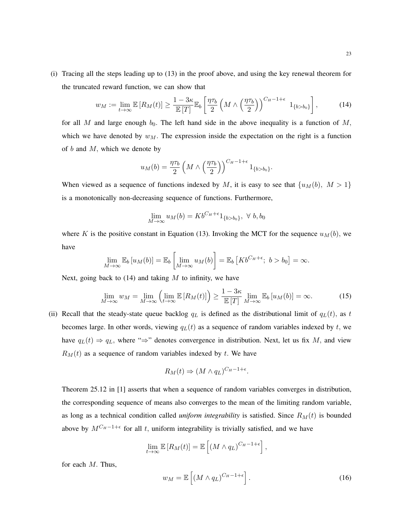(i) Tracing all the steps leading up to (13) in the proof above, and using the key renewal theorem for the truncated reward function, we can show that

$$
w_M := \lim_{t \to \infty} \mathbb{E}\left[R_M(t)\right] \ge \frac{1 - 3\kappa}{\mathbb{E}\left[T\right]} \mathbb{E}_b\left[\frac{\eta \tau_b}{2} \left(M \wedge \left(\frac{\eta \tau_b}{2}\right)\right)^{C_H - 1 + \epsilon} 1_{\{b > b_0\}}\right],\tag{14}
$$

for all *M* and large enough  $b_0$ . The left hand side in the above inequality is a function of *M*, which we have denoted by  $w_M$ . The expression inside the expectation on the right is a function of *b* and *M,* which we denote by

$$
u_M(b) = \frac{\eta \tau_b}{2} \left( M \wedge \left( \frac{\eta \tau_b}{2} \right) \right)^{C_H - 1 + \epsilon} 1_{\{b > b_0\}}.
$$

When viewed as a sequence of functions indexed by *M*, it is easy to see that  $\{u_M(b), M > 1\}$ is a monotonically non-decreasing sequence of functions. Furthermore,

$$
\lim_{M \to \infty} u_M(b) = K b^{C_H + \epsilon} 1_{\{b > b_0\}}, \ \forall \ b, b_0
$$

where *K* is the positive constant in Equation (13). Invoking the MCT for the sequence  $u_M(b)$ , we have

$$
\lim_{M\to\infty} \mathbb{E}_b\left[u_M(b)\right] = \mathbb{E}_b\left[\lim_{M\to\infty} u_M(b)\right] = \mathbb{E}_b\left[Kb^{C_H+\epsilon};\ b > b_0\right] = \infty.
$$

Next, going back to (14) and taking *M* to infinity, we have

$$
\lim_{M \to \infty} w_M = \lim_{M \to \infty} \left( \lim_{t \to \infty} \mathbb{E} \left[ R_M(t) \right] \right) \ge \frac{1 - 3\kappa}{\mathbb{E} \left[ T \right]} \lim_{M \to \infty} \mathbb{E}_b \left[ u_M(b) \right] = \infty. \tag{15}
$$

(ii) Recall that the steady-state queue backlog  $q<sub>L</sub>$  is defined as the distributional limit of  $q<sub>L</sub>(t)$ , as t becomes large. In other words, viewing  $q_L(t)$  as a sequence of random variables indexed by  $t$ , we have  $q_L(t) \Rightarrow q_L$ , where " $\Rightarrow$ " denotes convergence in distribution. Next, let us fix M, and view  $R_M(t)$  as a sequence of random variables indexed by *t*. We have

$$
R_M(t) \Rightarrow (M \wedge q_L)^{C_H - 1 + \epsilon}.
$$

Theorem 25.12 in [1] asserts that when a sequence of random variables converges in distribution, the corresponding sequence of means also converges to the mean of the limiting random variable, as long as a technical condition called *uniform integrability* is satisfied. Since *RM*(*t*) is bounded above by *MCH−*1+*<sup>ϵ</sup>* for all *t,* uniform integrability is trivially satisfied, and we have

$$
\lim_{t\to\infty} \mathbb{E}\left[R_M(t)\right] = \mathbb{E}\left[\left(M\wedge q_L\right)^{C_H-1+\epsilon}\right],
$$

for each *M.* Thus,

$$
w_M = \mathbb{E}\left[ \left( M \wedge q_L \right)^{C_H - 1 + \epsilon} \right]. \tag{16}
$$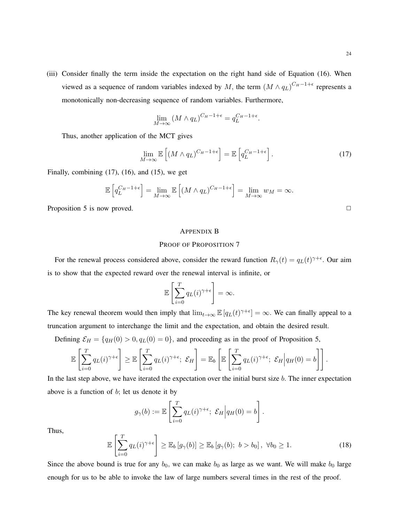(iii) Consider finally the term inside the expectation on the right hand side of Equation (16). When viewed as a sequence of random variables indexed by *M*, the term  $(M \wedge q_L)^{C_H-1+\epsilon}$  represents a monotonically non-decreasing sequence of random variables. Furthermore,

$$
\lim_{M \to \infty} (M \wedge q_L)^{C_H - 1 + \epsilon} = q_L^{C_H - 1 + \epsilon}.
$$

Thus, another application of the MCT gives

$$
\lim_{M \to \infty} \mathbb{E}\left[ (M \wedge q_L)^{C_H - 1 + \epsilon} \right] = \mathbb{E}\left[ q_L^{C_H - 1 + \epsilon} \right]. \tag{17}
$$

Finally, combining (17), (16), and (15), we get

$$
\mathbb{E}\left[q_L^{C_H-1+\epsilon}\right] = \lim_{M \to \infty} \mathbb{E}\left[\left(M \wedge q_L\right)^{C_H-1+\epsilon}\right] = \lim_{M \to \infty} w_M = \infty.
$$

Proposition 5 is now proved. **□** 

## APPENDIX B

## PROOF OF PROPOSITION 7

For the renewal process considered above, consider the reward function  $R_\gamma(t) = q_L(t)^{\gamma+\epsilon}$ . Our aim is to show that the expected reward over the renewal interval is infinite, or

$$
\mathbb{E}\left[\sum_{i=0}^T q_L(i)^{\gamma+\epsilon}\right] = \infty.
$$

The key renewal theorem would then imply that  $\lim_{t\to\infty} \mathbb{E}[q_L(t)^{\gamma+\epsilon}] = \infty$ . We can finally appeal to a truncation argument to interchange the limit and the expectation, and obtain the desired result.

Defining  $\mathcal{E}_H = \{q_H(0) > 0, q_L(0) = 0\}$ , and proceeding as in the proof of Proposition 5,

$$
\mathbb{E}\left[\sum_{i=0}^T q_L(i)^{\gamma+\epsilon}\right] \geq \mathbb{E}\left[\sum_{i=0}^T q_L(i)^{\gamma+\epsilon}; \ \mathcal{E}_H\right] = \mathbb{E}_b\left[\mathbb{E}\left[\sum_{i=0}^T q_L(i)^{\gamma+\epsilon}; \ \mathcal{E}_H\Big| q_H(0) = b\right]\right].
$$

In the last step above, we have iterated the expectation over the initial burst size *b.* The inner expectation above is a function of *b*; let us denote it by

$$
g_{\gamma}(b) := \mathbb{E}\left[\sum_{i=0}^{T} q_L(i)^{\gamma+\epsilon}; \ \mathcal{E}_H\Big| q_H(0) = b\right].
$$

Thus,

$$
\mathbb{E}\left[\sum_{i=0}^{T} q_L(i)^{\gamma+\epsilon}\right] \geq \mathbb{E}_b\left[g_\gamma(b)\right] \geq \mathbb{E}_b\left[g_\gamma(b); \ b > b_0\right], \ \forall b_0 \geq 1. \tag{18}
$$

Since the above bound is true for any  $b_0$ , we can make  $b_0$  as large as we want. We will make  $b_0$  large enough for us to be able to invoke the law of large numbers several times in the rest of the proof.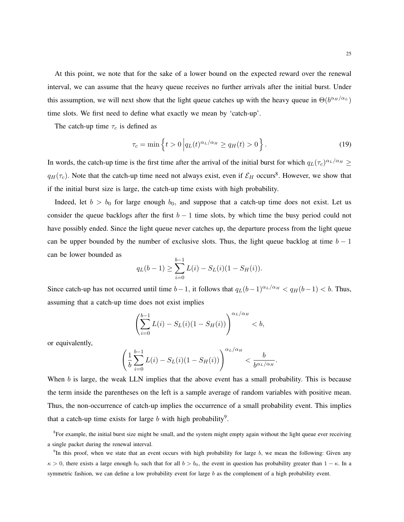At this point, we note that for the sake of a lower bound on the expected reward over the renewal interval, we can assume that the heavy queue receives no further arrivals after the initial burst. Under this assumption, we will next show that the light queue catches up with the heavy queue in  $\Theta(b^{\alpha_H/\alpha_L})$ time slots. We first need to define what exactly we mean by 'catch-up'.

The catch-up time  $\tau_c$  is defined as

$$
\tau_c = \min\left\{t > 0 \left| q_L(t)^{\alpha_L/\alpha_H} \ge q_H(t) > 0 \right. \right\} . \tag{19}
$$

*.*

In words, the catch-up time is the first time after the arrival of the initial burst for which  $q_L(\tau_c)^{\alpha_L/\alpha_H} \ge$  $q_H(\tau_c)$ . Note that the catch-up time need not always exist, even if  $\mathcal{E}_H$  occurs<sup>8</sup>. However, we show that if the initial burst size is large, the catch-up time exists with high probability.

Indeed, let  $b > b_0$  for large enough  $b_0$ , and suppose that a catch-up time does not exist. Let us consider the queue backlogs after the first  $b - 1$  time slots, by which time the busy period could not have possibly ended. Since the light queue never catches up, the departure process from the light queue can be upper bounded by the number of exclusive slots. Thus, the light queue backlog at time  $b - 1$ can be lower bounded as

$$
q_L(b-1) \ge \sum_{i=0}^{b-1} L(i) - S_L(i)(1 - S_H(i)).
$$

Since catch-up has not occurred until time  $b-1$ , it follows that  $q_L(b-1)^{\alpha_L/\alpha_H} < q_H(b-1) < b$ . Thus, assuming that a catch-up time does not exist implies

$$
\left(\sum_{i=0}^{b-1} L(i) - S_L(i)(1 - S_H(i))\right)^{\alpha_L/\alpha_H} < b,
$$

or equivalently,

$$
\left(\frac{1}{b}\sum_{i=0}^{b-1}L(i) - S_L(i)(1 - S_H(i))\right)^{\alpha_L/\alpha_H} < \frac{b}{b^{\alpha_L/\alpha_H}}
$$

When *b* is large, the weak LLN implies that the above event has a small probability. This is because the term inside the parentheses on the left is a sample average of random variables with positive mean. Thus, the non-occurrence of catch-up implies the occurrence of a small probability event. This implies that a catch-up time exists for large  $b$  with high probability<sup>9</sup>.

<sup>8</sup> For example, the initial burst size might be small, and the system might empty again without the light queue ever receiving a single packet during the renewal interval.

<sup>9</sup>In this proof, when we state that an event occurs with high probability for large *b*, we mean the following: Given any  $\kappa > 0$ , there exists a large enough  $b_0$  such that for all  $b > b_0$ , the event in question has probability greater than  $1 - \kappa$ . In a symmetric fashion, we can define a low probability event for large *b* as the complement of a high probability event.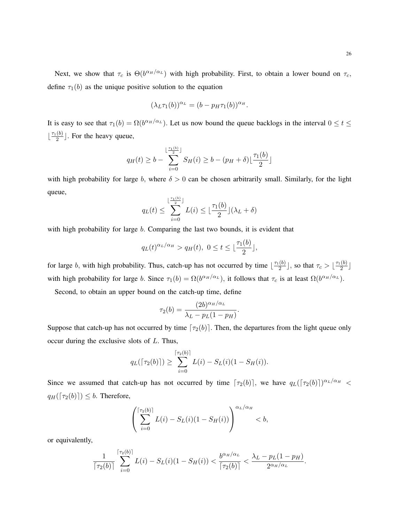26

Next, we show that  $\tau_c$  is  $\Theta(b^{\alpha_H/\alpha_L})$  with high probability. First, to obtain a lower bound on  $\tau_c$ , define  $\tau_1(b)$  as the unique positive solution to the equation

$$
(\lambda_L \tau_1(b))^{\alpha_L} = (b - p_H \tau_1(b))^{\alpha_H}.
$$

It is easy to see that  $\tau_1(b) = \Omega(b^{\alpha_H/\alpha_L})$ . Let us now bound the queue backlogs in the interval  $0 \le t \le$  $\lfloor \frac{\tau_1(b)}{2} \rfloor$  $\frac{(0)}{2}$ . For the heavy queue,

$$
q_H(t) \ge b - \sum_{i=0}^{\lfloor \frac{\tau_1(b)}{2} \rfloor} S_H(i) \ge b - (p_H + \delta) \lfloor \frac{\tau_1(b)}{2} \rfloor
$$

with high probability for large *b*, where  $\delta > 0$  can be chosen arbitrarily small. Similarly, for the light queue,

$$
q_L(t) \le \sum_{i=0}^{\lfloor \frac{\tau_1(b)}{2} \rfloor} L(i) \le \lfloor \frac{\tau_1(b)}{2} \rfloor (\lambda_L + \delta)
$$

with high probability for large *b.* Comparing the last two bounds, it is evident that

$$
q_L(t)^{\alpha_L/\alpha_H} > q_H(t), \ 0 \le t \le \lfloor \frac{\tau_1(b)}{2} \rfloor,
$$

for large *b*, with high probability. Thus, catch-up has not occurred by time  $\lfloor \frac{\tau_1(b)}{2} \rfloor$  $\left(\frac{b}{2}\right]$ , so that  $\tau_c > \left\lfloor \frac{\tau_1(b)}{2} \right\rfloor$  $\frac{\binom{0}{2}}{2}$ with high probability for large *b*. Since  $\tau_1(b) = \Omega(b^{\alpha_H/\alpha_L})$ , it follows that  $\tau_c$  is at least  $\Omega(b^{\alpha_H/\alpha_L})$ .

Second, to obtain an upper bound on the catch-up time, define

$$
\tau_2(b) = \frac{(2b)^{\alpha_H/\alpha_L}}{\lambda_L - p_L(1 - p_H)}.
$$

Suppose that catch-up has not occurred by time  $\lceil \tau_2(b) \rceil$ . Then, the departures from the light queue only occur during the exclusive slots of *L*. Thus,

$$
q_L(\lceil \tau_2(b) \rceil) \ge \sum_{i=0}^{\lceil \tau_2(b) \rceil} L(i) - S_L(i)(1 - S_H(i)).
$$

Since we assumed that catch-up has not occurred by time  $\lceil \tau_2(b) \rceil$ , we have  $q_L(\lceil \tau_2(b) \rceil)^{\alpha_L/\alpha_H}$  <  $q_H(\lceil \tau_2(b) \rceil) \leq b$ . Therefore,

$$
\left(\sum_{i=0}^{\lceil \tau_2(b) \rceil} L(i) - S_L(i)(1 - S_H(i))\right)^{\alpha_L/\alpha_H} < b,
$$

or equivalently,

$$
\frac{1}{\lceil \tau_2(b) \rceil} \sum_{i=0}^{\lceil \tau_2(b) \rceil} L(i) - S_L(i)(1 - S_H(i)) < \frac{b^{\alpha_H/\alpha_L}}{\lceil \tau_2(b) \rceil} < \frac{\lambda_L - p_L(1 - p_H)}{2^{\alpha_H/\alpha_L}}.
$$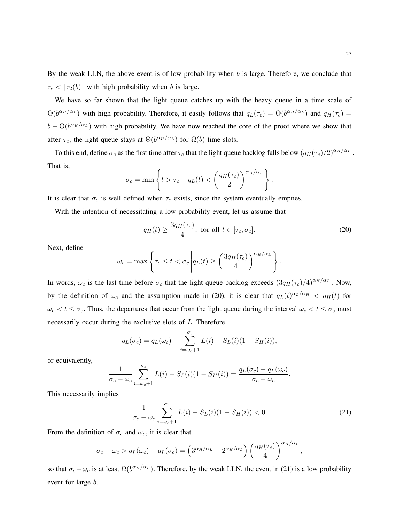By the weak LLN, the above event is of low probability when *b* is large. Therefore, we conclude that  $\tau_c$  <  $\lceil \tau_2(b) \rceil$  with high probability when *b* is large.

We have so far shown that the light queue catches up with the heavy queue in a time scale of  $\Theta(b^{\alpha_H/\alpha_L})$  with high probability. Therefore, it easily follows that  $q_L(\tau_c) = \Theta(b^{\alpha_H/\alpha_L})$  and  $q_H(\tau_c) =$  $b - \Theta(b^{\alpha_H/\alpha_L})$  with high probability. We have now reached the core of the proof where we show that after  $\tau_c$ , the light queue stays at  $\Theta(b^{\alpha_H/\alpha_L})$  for  $\Omega(b)$  time slots.

To this end, define  $\sigma_c$  as the first time after  $\tau_c$  that the light queue backlog falls below  $(q_H(\tau_c)/2)^{\alpha_H/\alpha_L}$ . That is,

$$
\sigma_c = \min \left\{ t > \tau_c \middle| q_L(t) < \left( \frac{q_H(\tau_c)}{2} \right)^{\alpha_H/\alpha_L} \right\}.
$$

It is clear that  $\sigma_c$  is well defined when  $\tau_c$  exists, since the system eventually empties.

With the intention of necessitating a low probability event, let us assume that

$$
q_H(t) \ge \frac{3q_H(\tau_c)}{4}, \text{ for all } t \in [\tau_c, \sigma_c].
$$
 (20)

Next, define

$$
\omega_c = \max \left\{ \tau_c \le t < \sigma_c \left| q_L(t) \ge \left( \frac{3q_H(\tau_c)}{4} \right)^{\alpha_H/\alpha_L} \right. \right\}.
$$

In words,  $\omega_c$  is the last time before  $\sigma_c$  that the light queue backlog exceeds  $(3q_H(\tau_c)/4)^{\alpha_H/\alpha_L}$ . Now, by the definition of  $\omega_c$  and the assumption made in (20), it is clear that  $q_L(t)^{\alpha_L/\alpha_H} < q_H(t)$  for  $\omega_c < t \leq \sigma_c$ . Thus, the departures that occur from the light queue during the interval  $\omega_c < t \leq \sigma_c$  must necessarily occur during the exclusive slots of *L*. Therefore,

$$
q_L(\sigma_c) = q_L(\omega_c) + \sum_{i=\omega_c+1}^{\sigma_c} L(i) - S_L(i)(1 - S_H(i)),
$$

or equivalently,

$$
\frac{1}{\sigma_c - \omega_c} \sum_{i = \omega_c + 1}^{\sigma_c} L(i) - S_L(i)(1 - S_H(i)) = \frac{q_L(\sigma_c) - q_L(\omega_c)}{\sigma_c - \omega_c}.
$$

This necessarily implies

$$
\frac{1}{\sigma_c - \omega_c} \sum_{i = \omega_c + 1}^{\sigma_c} L(i) - S_L(i)(1 - S_H(i)) < 0. \tag{21}
$$

From the definition of  $\sigma_c$  and  $\omega_c$ , it is clear that

$$
\sigma_c - \omega_c > q_L(\omega_c) - q_L(\sigma_c) = \left(3^{\alpha_H/\alpha_L} - 2^{\alpha_H/\alpha_L}\right) \left(\frac{q_H(\tau_c)}{4}\right)^{\alpha_H/\alpha_L},
$$

so that  $\sigma_c - \omega_c$  is at least  $\Omega(b^{\alpha_H/\alpha_L})$ . Therefore, by the weak LLN, the event in (21) is a low probability event for large *b*.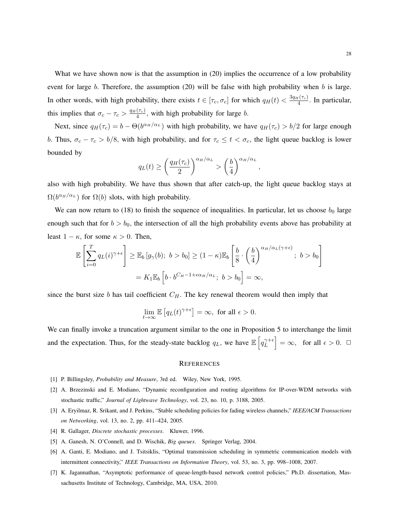What we have shown now is that the assumption in (20) implies the occurrence of a low probability event for large *b.* Therefore, the assumption (20) will be false with high probability when *b* is large. In other words, with high probability, there exists  $t \in [\tau_c, \sigma_c]$  for which  $q_H(t) < \frac{3q_H(\tau_c)}{4}$  $\frac{I(T_c)}{4}$ . In particular, this implies that  $\sigma_c - \tau_c > \frac{q_H(\tau_c)}{4}$  $\frac{(\tau_c)}{4}$ , with high probability for large *b*.

Next, since  $q_H(\tau_c) = b - \Theta(b^{\alpha_H/\alpha_L})$  with high probability, we have  $q_H(\tau_c) > b/2$  for large enough *b.* Thus,  $\sigma_c - \tau_c > b/8$ , with high probability, and for  $\tau_c \leq t < \sigma_c$ , the light queue backlog is lower bounded by

$$
q_L(t) \ge \left(\frac{q_H(\tau_c)}{2}\right)^{\alpha_H/\alpha_L} > \left(\frac{b}{4}\right)^{\alpha_H/\alpha_L},
$$

also with high probability. We have thus shown that after catch-up, the light queue backlog stays at  $\Omega(b^{\alpha_H/\alpha_L})$  for  $\Omega(b)$  slots, with high probability.

We can now return to  $(18)$  to finish the sequence of inequalities. In particular, let us choose  $b_0$  large enough such that for  $b > b_0$ , the intersection of all the high probability events above has probability at least  $1 - \kappa$ , for some  $\kappa > 0$ . Then,

$$
\mathbb{E}\left[\sum_{i=0}^{T} q_L(i)^{\gamma+\epsilon}\right] \geq \mathbb{E}_b\left[g_\gamma(b); b > b_0\right] \geq (1-\kappa)\mathbb{E}_b\left[\frac{b}{8}\cdot\left(\frac{b}{4}\right)^{\alpha_H/\alpha_L(\gamma+\epsilon)}; b > b_0\right]
$$

$$
= K_1 \mathbb{E}_b\left[b \cdot b^{C_H-1+\epsilon\alpha_H/\alpha_L}; b > b_0\right] = \infty,
$$

since the burst size  $b$  has tail coefficient  $C_H$ . The key renewal theorem would then imply that

$$
\lim_{t \to \infty} \mathbb{E}\left[q_L(t)^{\gamma + \epsilon}\right] = \infty, \text{ for all } \epsilon > 0.
$$

We can finally invoke a truncation argument similar to the one in Proposition 5 to interchange the limit and the expectation. Thus, for the steady-state backlog  $q_L$ , we have  $\mathbb{E}\left[q_L^{\gamma+\epsilon}\right]$  $\begin{bmatrix} \gamma + \epsilon \\ L \end{bmatrix} = \infty$ , for all  $\epsilon > 0$ .  $\Box$ 

#### **REFERENCES**

- [1] P. Billingsley, *Probability and Measure*, 3rd ed. Wiley, New York, 1995.
- [2] A. Brzezinski and E. Modiano, "Dynamic reconfiguration and routing algorithms for IP-over-WDM networks with stochastic traffic," *Journal of Lightwave Technology*, vol. 23, no. 10, p. 3188, 2005.
- [3] A. Eryilmaz, R. Srikant, and J. Perkins, "Stable scheduling policies for fading wireless channels," *IEEE/ACM Transactions on Networking*, vol. 13, no. 2, pp. 411–424, 2005.
- [4] R. Gallager, *Discrete stochastic processes*. Kluwer, 1996.
- [5] A. Ganesh, N. O'Connell, and D. Wischik, *Big queues*. Springer Verlag, 2004.
- [6] A. Ganti, E. Modiano, and J. Tsitsiklis, "Optimal transmission scheduling in symmetric communication models with intermittent connectivity," *IEEE Transactions on Information Theory*, vol. 53, no. 3, pp. 998–1008, 2007.
- [7] K. Jagannathan, "Asymptotic performance of queue-length-based network control policies," Ph.D. dissertation, Massachusetts Institute of Technology, Cambridge, MA, USA, 2010.